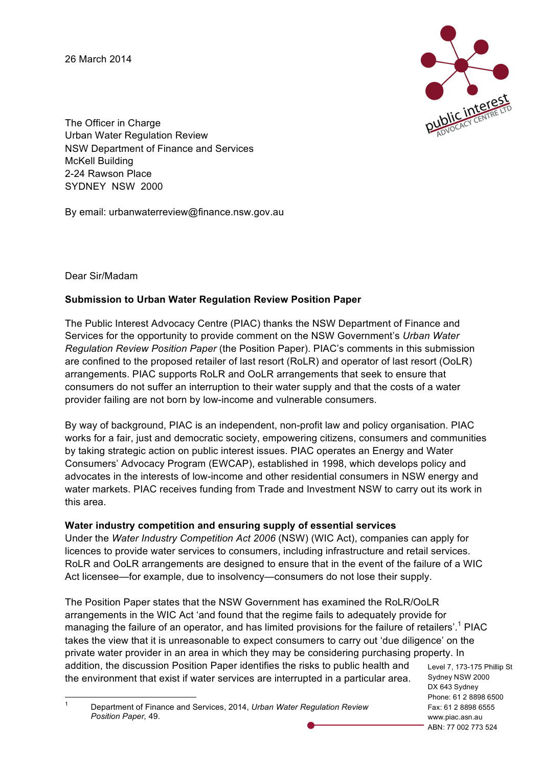26 March 2014



The Officer in Charge Urban Water Regulation Review NSW Department of Finance and Services McKell Building 2-24 Rawson Place SYDNEY NSW 2000

By email: urbanwaterreview@finance.nsw.gov.au

Dear Sir/Madam

## **Submission to Urban Water Regulation Review Position Paper**

The Public Interest Advocacy Centre (PIAC) thanks the NSW Department of Finance and Services for the opportunity to provide comment on the NSW Government's *Urban Water Regulation Review Position Paper* (the Position Paper). PIAC's comments in this submission are confined to the proposed retailer of last resort (RoLR) and operator of last resort (OoLR) arrangements. PIAC supports RoLR and OoLR arrangements that seek to ensure that consumers do not suffer an interruption to their water supply and that the costs of a water provider failing are not born by low-income and vulnerable consumers.

By way of background, PIAC is an independent, non-profit law and policy organisation. PIAC works for a fair, just and democratic society, empowering citizens, consumers and communities by taking strategic action on public interest issues. PIAC operates an Energy and Water Consumers' Advocacy Program (EWCAP), established in 1998, which develops policy and advocates in the interests of low-income and other residential consumers in NSW energy and water markets. PIAC receives funding from Trade and Investment NSW to carry out its work in this area.

## **Water industry competition and ensuring supply of essential services**

Under the *Water Industry Competition Act 2006* (NSW) (WIC Act), companies can apply for licences to provide water services to consumers, including infrastructure and retail services. RoLR and OoLR arrangements are designed to ensure that in the event of the failure of a WIC Act licensee—for example, due to insolvency—consumers do not lose their supply.

Sydney NSW 2000 The Position Paper states that the NSW Government has examined the RoLR/OoLR arrangements in the WIC Act 'and found that the regime fails to adequately provide for managing the failure of an operator, and has limited provisions for the failure of retailers'.<sup>1</sup> PIAC takes the view that it is unreasonable to expect consumers to carry out 'due diligence' on the private water provider in an area in which they may be considering purchasing property. In addition, the discussion Position Paper identifies the risks to public health and the environment that exist if water services are interrupted in a particular area.

Level 7, 173-175 Phillip St DX 643 Sydney Phone: 61 2 8898 6500 Fax: 61 2 8898 6555 www.piac.asn.au ABN: 77 002 773 524

 1 Department of Finance and Services, 2014, *Urban Water Regulation Review Position Paper,* 49.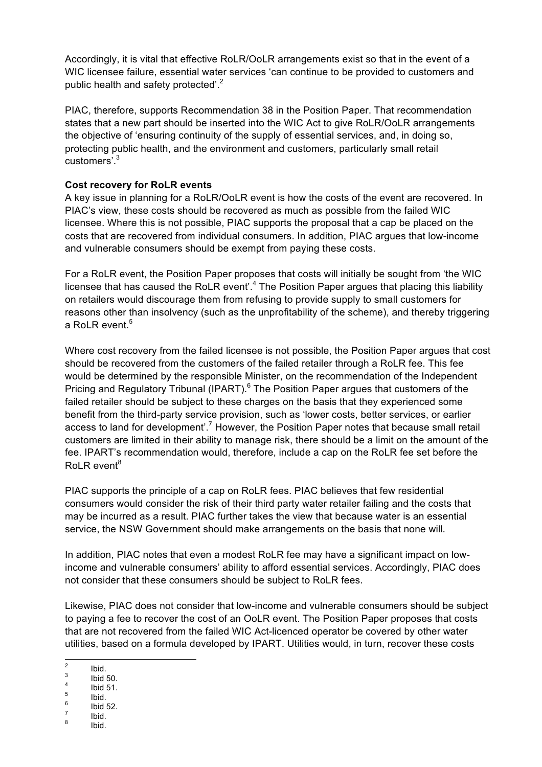Accordingly, it is vital that effective RoLR/OoLR arrangements exist so that in the event of a WIC licensee failure, essential water services 'can continue to be provided to customers and public health and safety protected'.<sup>2</sup>

PIAC, therefore, supports Recommendation 38 in the Position Paper. That recommendation states that a new part should be inserted into the WIC Act to give RoLR/OoLR arrangements the objective of 'ensuring continuity of the supply of essential services, and, in doing so, protecting public health, and the environment and customers, particularly small retail customers'.3

## **Cost recovery for RoLR events**

A key issue in planning for a RoLR/OoLR event is how the costs of the event are recovered. In PIAC's view, these costs should be recovered as much as possible from the failed WIC licensee. Where this is not possible, PIAC supports the proposal that a cap be placed on the costs that are recovered from individual consumers. In addition, PIAC argues that low-income and vulnerable consumers should be exempt from paying these costs.

For a RoLR event, the Position Paper proposes that costs will initially be sought from 'the WIC licensee that has caused the RoLR event'.<sup>4</sup> The Position Paper argues that placing this liability on retailers would discourage them from refusing to provide supply to small customers for reasons other than insolvency (such as the unprofitability of the scheme), and thereby triggering a RoLR event. $^5$ 

Where cost recovery from the failed licensee is not possible, the Position Paper argues that cost should be recovered from the customers of the failed retailer through a RoLR fee. This fee would be determined by the responsible Minister, on the recommendation of the Independent Pricing and Regulatory Tribunal (IPART).<sup>6</sup> The Position Paper argues that customers of the failed retailer should be subject to these charges on the basis that they experienced some benefit from the third-party service provision, such as 'lower costs, better services, or earlier access to land for development'.<sup>7</sup> However, the Position Paper notes that because small retail customers are limited in their ability to manage risk, there should be a limit on the amount of the fee. IPART's recommendation would, therefore, include a cap on the RoLR fee set before the  $RolR$  event<sup>8</sup>

PIAC supports the principle of a cap on RoLR fees. PIAC believes that few residential consumers would consider the risk of their third party water retailer failing and the costs that may be incurred as a result. PIAC further takes the view that because water is an essential service, the NSW Government should make arrangements on the basis that none will.

In addition, PIAC notes that even a modest RoLR fee may have a significant impact on lowincome and vulnerable consumers' ability to afford essential services. Accordingly, PIAC does not consider that these consumers should be subject to RoLR fees.

Likewise, PIAC does not consider that low-income and vulnerable consumers should be subject to paying a fee to recover the cost of an OoLR event. The Position Paper proposes that costs that are not recovered from the failed WIC Act-licenced operator be covered by other water utilities, based on a formula developed by IPART. Utilities would, in turn, recover these costs

 $\begin{array}{ccc} \n\frac{2}{3} & \text{lbid.} \\
\frac{4}{4} & \text{lbid 51.} \\
\frac{5}{5} & \text{lbid.} \\
\frac{6}{7} & \text{lbid.} \\
\frac{8}{7} & \text{lbid.} \\
\end{array}$